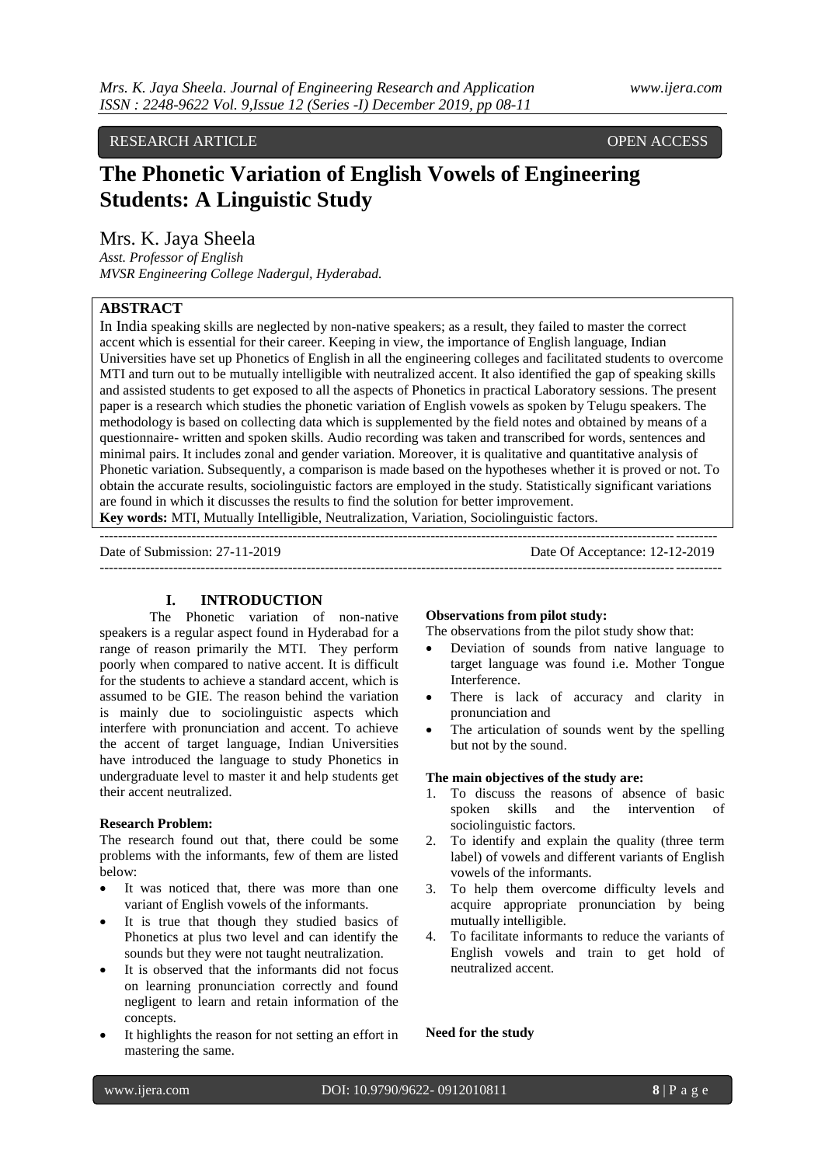## RESEARCH ARTICLE **CONSERVERS** OPEN ACCESS

# **The Phonetic Variation of English Vowels of Engineering Students: A Linguistic Study**

Mrs. K. Jaya Sheela

*Asst. Professor of English MVSR Engineering College Nadergul, Hyderabad.*

## **ABSTRACT**

In India speaking skills are neglected by non-native speakers; as a result, they failed to master the correct accent which is essential for their career. Keeping in view, the importance of English language, Indian Universities have set up Phonetics of English in all the engineering colleges and facilitated students to overcome MTI and turn out to be mutually intelligible with neutralized accent. It also identified the gap of speaking skills and assisted students to get exposed to all the aspects of Phonetics in practical Laboratory sessions. The present paper is a research which studies the phonetic variation of English vowels as spoken by Telugu speakers. The methodology is based on collecting data which is supplemented by the field notes and obtained by means of a questionnaire- written and spoken skills. Audio recording was taken and transcribed for words, sentences and minimal pairs. It includes zonal and gender variation. Moreover, it is qualitative and quantitative analysis of Phonetic variation. Subsequently, a comparison is made based on the hypotheses whether it is proved or not. To obtain the accurate results, sociolinguistic factors are employed in the study. Statistically significant variations are found in which it discusses the results to find the solution for better improvement.

---------------------------------------------------------------------------------------------------------------------------------------

**Key words:** MTI, Mutually Intelligible, Neutralization, Variation, Sociolinguistic factors.

-------------------------------------------------------------------------------------------------------------------------------------- Date of Submission: 27-11-2019 Date Of Acceptance: 12-12-2019

## **I. INTRODUCTION**

The Phonetic variation of non-native speakers is a regular aspect found in Hyderabad for a range of reason primarily the MTI. They perform poorly when compared to native accent. It is difficult for the students to achieve a standard accent, which is assumed to be GIE. The reason behind the variation is mainly due to sociolinguistic aspects which interfere with pronunciation and accent. To achieve the accent of target language, Indian Universities have introduced the language to study Phonetics in undergraduate level to master it and help students get their accent neutralized.

#### **Research Problem:**

The research found out that, there could be some problems with the informants, few of them are listed below:

- It was noticed that, there was more than one variant of English vowels of the informants.
- It is true that though they studied basics of Phonetics at plus two level and can identify the sounds but they were not taught neutralization.
- It is observed that the informants did not focus on learning pronunciation correctly and found negligent to learn and retain information of the concepts.
- It highlights the reason for not setting an effort in mastering the same.

#### **Observations from pilot study:**

The observations from the pilot study show that:

- Deviation of sounds from native language to target language was found i.e. Mother Tongue Interference.
- There is lack of accuracy and clarity in pronunciation and
- The articulation of sounds went by the spelling but not by the sound.

## **The main objectives of the study are:**

- 1. To discuss the reasons of absence of basic spoken skills and the intervention of sociolinguistic factors.
- 2. To identify and explain the quality (three term label) of vowels and different variants of English vowels of the informants.
- 3. To help them overcome difficulty levels and acquire appropriate pronunciation by being mutually intelligible.
- 4. To facilitate informants to reduce the variants of English vowels and train to get hold of neutralized accent.

#### **Need for the study**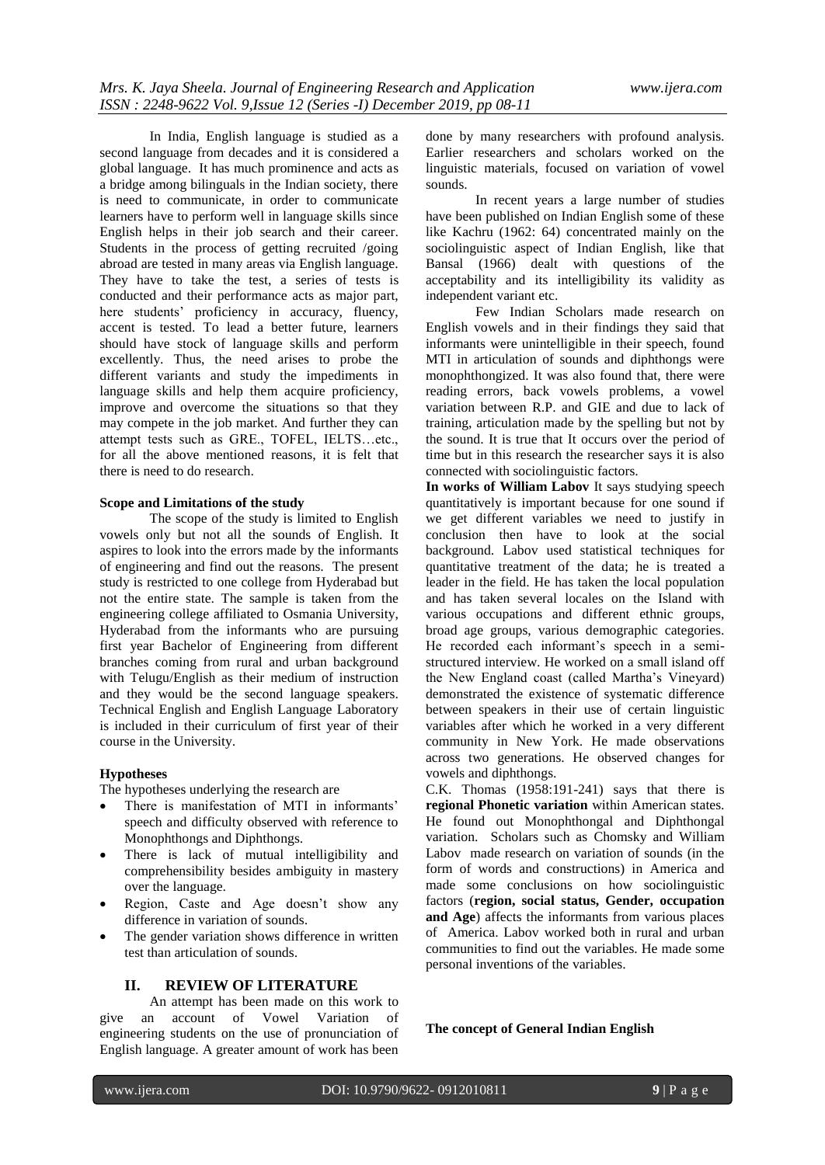In India, English language is studied as a second language from decades and it is considered a global language. It has much prominence and acts as a bridge among bilinguals in the Indian society, there is need to communicate, in order to communicate learners have to perform well in language skills since English helps in their job search and their career. Students in the process of getting recruited /going abroad are tested in many areas via English language. They have to take the test, a series of tests is conducted and their performance acts as major part, here students' proficiency in accuracy, fluency, accent is tested. To lead a better future, learners should have stock of language skills and perform excellently. Thus, the need arises to probe the different variants and study the impediments in language skills and help them acquire proficiency, improve and overcome the situations so that they may compete in the job market. And further they can attempt tests such as GRE., TOFEL, IELTS…etc., for all the above mentioned reasons, it is felt that there is need to do research.

#### **Scope and Limitations of the study**

The scope of the study is limited to English vowels only but not all the sounds of English. It aspires to look into the errors made by the informants of engineering and find out the reasons. The present study is restricted to one college from Hyderabad but not the entire state. The sample is taken from the engineering college affiliated to Osmania University, Hyderabad from the informants who are pursuing first year Bachelor of Engineering from different branches coming from rural and urban background with Telugu/English as their medium of instruction and they would be the second language speakers. Technical English and English Language Laboratory is included in their curriculum of first year of their course in the University.

#### **Hypotheses**

The hypotheses underlying the research are

- There is manifestation of MTI in informants' speech and difficulty observed with reference to Monophthongs and Diphthongs.
- There is lack of mutual intelligibility and comprehensibility besides ambiguity in mastery over the language.
- Region, Caste and Age doesn't show any difference in variation of sounds.
- The gender variation shows difference in written test than articulation of sounds.

#### **II. REVIEW OF LITERATURE**

An attempt has been made on this work to give an account of Vowel Variation of engineering students on the use of pronunciation of English language. A greater amount of work has been

done by many researchers with profound analysis. Earlier researchers and scholars worked on the linguistic materials, focused on variation of vowel sounds.

In recent years a large number of studies have been published on Indian English some of these like Kachru (1962: 64) concentrated mainly on the sociolinguistic aspect of Indian English, like that Bansal (1966) dealt with questions of the acceptability and its intelligibility its validity as independent variant etc.

Few Indian Scholars made research on English vowels and in their findings they said that informants were unintelligible in their speech, found MTI in articulation of sounds and diphthongs were monophthongized. It was also found that, there were reading errors, back vowels problems, a vowel variation between R.P. and GIE and due to lack of training, articulation made by the spelling but not by the sound. It is true that It occurs over the period of time but in this research the researcher says it is also connected with sociolinguistic factors.

**In works of William Labov** It says studying speech quantitatively is important because for one sound if we get different variables we need to justify in conclusion then have to look at the social background. Labov used statistical techniques for quantitative treatment of the data; he is treated a leader in the field. He has taken the local population and has taken several locales on the Island with various occupations and different ethnic groups, broad age groups, various demographic categories. He recorded each informant's speech in a semistructured interview. He worked on a small island off the New England coast (called Martha's Vineyard) demonstrated the existence of systematic difference between speakers in their use of certain linguistic variables after which he worked in a very different community in New York. He made observations across two generations. He observed changes for vowels and diphthongs.

C.K. Thomas (1958:191-241) says that there is **regional Phonetic variation** within American states. He found out Monophthongal and Diphthongal variation. Scholars such as Chomsky and William Labov made research on variation of sounds (in the form of words and constructions) in America and made some conclusions on how sociolinguistic factors (**region, social status, Gender, occupation and Age**) affects the informants from various places of America. Labov worked both in rural and urban communities to find out the variables. He made some personal inventions of the variables.

**The concept of General Indian English**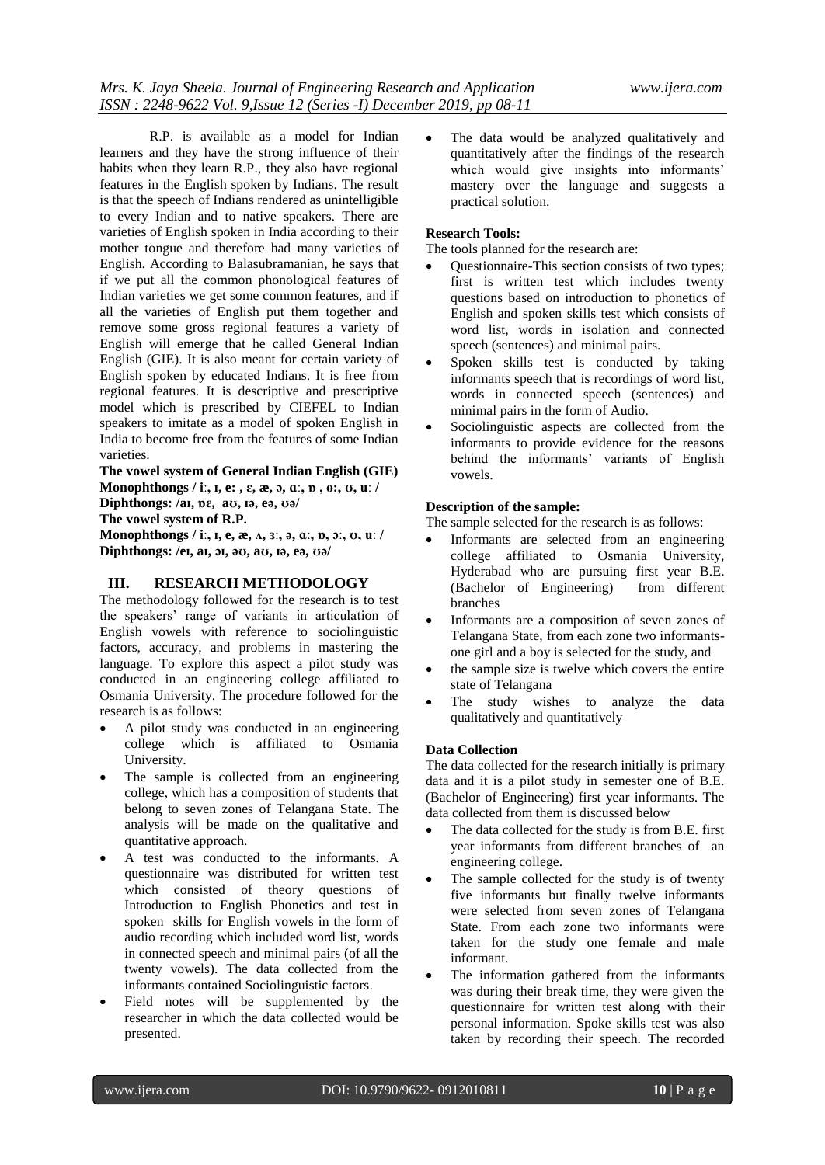R.P. is available as a model for Indian learners and they have the strong influence of their habits when they learn R.P., they also have regional features in the English spoken by Indians. The result is that the speech of Indians rendered as unintelligible to every Indian and to native speakers. There are varieties of English spoken in India according to their mother tongue and therefore had many varieties of English. According to Balasubramanian, he says that if we put all the common phonological features of Indian varieties we get some common features, and if all the varieties of English put them together and remove some gross regional features a variety of English will emerge that he called General Indian English (GIE). It is also meant for certain variety of English spoken by educated Indians. It is free from regional features. It is descriptive and prescriptive model which is prescribed by CIEFEL to Indian speakers to imitate as a model of spoken English in India to become free from the features of some Indian varieties.

**The vowel system of General Indian English (GIE) Monophthongs / iː, ɪ, e: , ɛ, æ, ə, ɑː, ɒ , o:, ʊ, uː / Diphthongs: /aɪ, ɒɛ, aʊ, ɪə, eə, ʊə/**

**The vowel system of R.P.**

**Monophthongs / iː, ɪ, e, æ, ʌ, ɜː, ə, ɑː, ɒ, ɔː, ʊ, uː / Diphthongs: /eɪ, aɪ, ɔɪ, əʊ, aʊ, ɪə, eə, ʊə/**

## **III. RESEARCH METHODOLOGY**

The methodology followed for the research is to test the speakers' range of variants in articulation of English vowels with reference to sociolinguistic factors, accuracy, and problems in mastering the language. To explore this aspect a pilot study was conducted in an engineering college affiliated to Osmania University. The procedure followed for the research is as follows:

- A pilot study was conducted in an engineering college which is affiliated to Osmania University.
- The sample is collected from an engineering college, which has a composition of students that belong to seven zones of Telangana State. The analysis will be made on the qualitative and quantitative approach.
- A test was conducted to the informants. A questionnaire was distributed for written test which consisted of theory questions of Introduction to English Phonetics and test in spoken skills for English vowels in the form of audio recording which included word list, words in connected speech and minimal pairs (of all the twenty vowels). The data collected from the informants contained Sociolinguistic factors.
- Field notes will be supplemented by the researcher in which the data collected would be presented.

 The data would be analyzed qualitatively and quantitatively after the findings of the research which would give insights into informants' mastery over the language and suggests a practical solution.

## **Research Tools:**

The tools planned for the research are:

- Questionnaire-This section consists of two types; first is written test which includes twenty questions based on introduction to phonetics of English and spoken skills test which consists of word list, words in isolation and connected speech (sentences) and minimal pairs.
- Spoken skills test is conducted by taking informants speech that is recordings of word list, words in connected speech (sentences) and minimal pairs in the form of Audio.
- Sociolinguistic aspects are collected from the informants to provide evidence for the reasons behind the informants' variants of English vowels.

## **Description of the sample:**

The sample selected for the research is as follows:

- Informants are selected from an engineering college affiliated to Osmania University, Hyderabad who are pursuing first year B.E. (Bachelor of Engineering) from different branches
- Informants are a composition of seven zones of Telangana State, from each zone two informantsone girl and a boy is selected for the study, and
- the sample size is twelve which covers the entire state of Telangana
- The study wishes to analyze the data qualitatively and quantitatively

## **Data Collection**

The data collected for the research initially is primary data and it is a pilot study in semester one of B.E. (Bachelor of Engineering) first year informants. The data collected from them is discussed below

- The data collected for the study is from B.E. first year informants from different branches of an engineering college.
- The sample collected for the study is of twenty five informants but finally twelve informants were selected from seven zones of Telangana State. From each zone two informants were taken for the study one female and male informant.
- The information gathered from the informants was during their break time, they were given the questionnaire for written test along with their personal information. Spoke skills test was also taken by recording their speech. The recorded